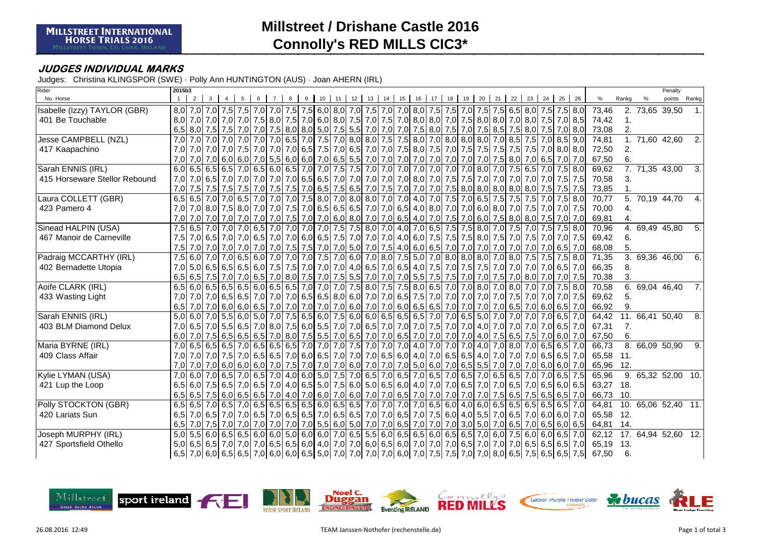# **Millstreet / Drishane Castle 2016Connolly's RED MILLS CIC3\***

### **JUDGES INDIVIDUAL MARKS**

Judges: Christina KLINGSPOR (SWE) · Polly Ann HUNTINGTON (AUS) · Joan AHERN (IRL)

| Rider                         | 2015b3           |                |   |  |  |                                         |                 |    |         |                                                                                                                                 |    |    |    |    |    |    |    |    |                                     |     |    |                 |    |                                                                                                                                 |       |   | Penalty                    |                  |
|-------------------------------|------------------|----------------|---|--|--|-----------------------------------------|-----------------|----|---------|---------------------------------------------------------------------------------------------------------------------------------|----|----|----|----|----|----|----|----|-------------------------------------|-----|----|-----------------|----|---------------------------------------------------------------------------------------------------------------------------------|-------|---|----------------------------|------------------|
| No. Horse                     |                  | $\overline{2}$ | 3 |  |  |                                         | 10 <sup>1</sup> | 11 | $12-12$ | 13                                                                                                                              | 14 | 15 | 16 | 17 | 18 | 19 | 20 | 21 | 22                                  | 23  | 24 | 25              | 26 | $\%$                                                                                                                            | Rankg | % | points                     | Rankg            |
| Isabelle (Izzy) TAYLOR (GBR)  |                  |                |   |  |  |                                         |                 |    |         | 8,0 7,0 7,0 7,5 7,5 7,5 7,6 7,0 7,6 7,0 7,6 7,0 7,5 7,0 7,0 7,0 7,0 7,0 8,0 7,5 7,5 7,0 7,5 6,5 8,0 7,5 7,5 8,0                 |    |    |    |    |    |    |    |    |                                     |     |    |                 |    | 73,46                                                                                                                           |       |   | 2. 73,65 39,50             | $\mathbf{1}$ .   |
| 401 Be Touchable              |                  |                |   |  |  |                                         |                 |    |         | 8,0 7,0 7,0 7,0 7,0 7,5 8,0 7,5 8,0 7,5 8,0 8,0 8,0 7,5 7,0 7,5 7,0 8,0 8,0 7,0 7,5 8,0 8,0 7,0 8,0 7,0 8,0 7,6 8,5             |    |    |    |    |    |    |    |    |                                     |     |    |                 |    | 74,42                                                                                                                           |       |   |                            |                  |
|                               |                  |                |   |  |  |                                         |                 |    |         | 6,5 8,0 7,5 7,5 7,6 7,6 7,0 7,6 8,0 7,5 8,0 8,0 5,0 7,5 5,5 7,0 7,0 7,0 7,5 8,0 7,5 7,0 7,5 8,5 7,5 8,0 7,5 7,0 8,0             |    |    |    |    |    |    |    |    |                                     |     |    |                 |    | 73,08                                                                                                                           | 2.    |   |                            |                  |
| Jesse CAMPBELL (NZL)          | 7.0 <sub>l</sub> |                |   |  |  |                                         |                 |    |         | 7,0 7,0 7,0 7,0 7,0 7,0 6,5 7,0 6,5 7,0 7,6 7,0 8,0 8,0 7,5 7,5 8,0 7,0 8,0 8,0 8,0 7,0 8,5 7,5                                 |    |    |    |    |    |    |    |    |                                     |     |    | $7.0$ 8,5 9,0   |    | 74,81                                                                                                                           |       |   | 1. 71,60 42,60             | $\overline{2}$ . |
| 417 Kaapachino                |                  |                |   |  |  |                                         |                 |    |         | 7,0 7,0 7,0 7,0 7,0 7,0 7,0 7,0 7,0 8,0 8,0 7,5 7,0 6,5 7,0 7,0 7,0 7,0 7,5 8,0 7,5 7,5 7,5 7,5 7,5 7,5 7,5 7,5 8,0 8,0         |    |    |    |    |    |    |    |    |                                     |     |    |                 |    | 72,50                                                                                                                           | 2.    |   |                            |                  |
|                               |                  |                |   |  |  |                                         |                 |    |         |                                                                                                                                 |    |    |    |    |    |    |    |    |                                     |     |    |                 |    | 67,50                                                                                                                           | 6.    |   |                            |                  |
| Sarah ENNIS (IRL)             |                  |                |   |  |  |                                         |                 |    |         | 6,0 6,5 6,5 6,5 6,5 7,0 6,5 6,0 6,5 7,0 7,0 7,0 7,5 7,5 7,0 7,0 7,0 7,0 7,0 7,0 7,0 7,0 8,0 7,0 8,0 7,5 6,5                     |    |    |    |    |    |    |    |    |                                     |     |    | $7,0$ 7,5 8,0   |    | 69,62                                                                                                                           |       |   | 7.71,3543,00               | <u>კ</u>         |
| 415 Horseware Stellor Rebound |                  |                |   |  |  |                                         |                 |    |         |                                                                                                                                 |    |    |    |    |    |    |    |    |                                     |     |    |                 |    | 70,58                                                                                                                           | 3.    |   |                            |                  |
|                               |                  |                |   |  |  |                                         |                 |    |         | 7,0 7,5 7,5 7,5 7,5 7,5 7,6 7,6 7,6 7,5 7,6 6,5 7,6 6,5 7,0 7,6 7,0 7,0 7,0 7,0 7,0 8,0 8,0 8,0 8,0 8,0 8,0 8,0                 |    |    |    |    |    |    |    |    |                                     |     |    | 7,5 7,5 7,5     |    | 73,85                                                                                                                           |       |   |                            |                  |
| Laura COLLETT (GBR)           |                  |                |   |  |  | 6.5 6.5 7.0 7.0 6.5 7.0 7.0 7.0 7.5 8.0 |                 |    |         | 7,0 8,0 8,0 7,0 7,0 4,0 7,0 7,5 7,0 6,5 7,5 7,5 7,5 7,5                                                                         |    |    |    |    |    |    |    |    |                                     |     |    | 7,0 7,5 8,0     |    | 70,77                                                                                                                           |       |   | $\overline{5.70,19}$ 44,70 | 4.               |
| 423 Pamero 4                  |                  |                |   |  |  |                                         |                 |    |         | 7,0 7,0 7,0 7,5 8,0 7,0 7,0 7,0 7,0 6,5 6,5 6,5 6,5 7,0 7,0 6,5 4,0 8,0 7,0 6,0 8,0 7,0 6,0 7,6 7,5 7,0 7,5 7,0 7,5             |    |    |    |    |    |    |    |    |                                     |     |    |                 |    | 70,00                                                                                                                           | 4.    |   |                            |                  |
|                               |                  |                |   |  |  |                                         |                 |    |         |                                                                                                                                 |    |    |    |    |    |    |    |    |                                     |     |    | 7,5 7,0 7,0     |    | 69,81                                                                                                                           | 4.    |   |                            |                  |
| Sinead HALPIN (USA)           |                  |                |   |  |  |                                         |                 |    |         | 7,5 6,5 7,0 7,0 7,0 6,5 7,0 7,0 7,0 7,0 7,0 7,5 7,5 8,0 7,0 4,0 7,0 6,5 7,5 7,5 8,0 7,0 7,5 7,5 8                               |    |    |    |    |    |    |    |    |                                     |     |    | $7,5$ 7,5 8,0   |    | 70,96                                                                                                                           |       |   | 4. 69,49 45,80             | 5.               |
| 467 Manoir de Carneville      |                  |                |   |  |  |                                         |                 |    |         | 7,5 7,0 7,6 7,0 7,6 7,0 7,0 7,6 7,75 7,5 7,0 6,0 6,5 7,5 7,0 7,0 7,0 7,0 4,0 6,0 7,5 7,5 7,5 8,0 7,5 7,0 7,5 7,0 7,5 7,0 7,5    |    |    |    |    |    |    |    |    |                                     |     |    |                 |    | 69,42                                                                                                                           | 6.    |   |                            |                  |
|                               |                  |                |   |  |  |                                         |                 |    |         |                                                                                                                                 |    |    |    |    |    |    |    |    |                                     |     |    |                 |    | 68,08                                                                                                                           | 5.    |   |                            |                  |
| Padraig MCCARTHY (IRL)        |                  |                |   |  |  |                                         |                 |    |         | 7,5 6,0 7,0 7,0 6,5 6,0 7,0 7,0 7,0 7,5 7,0 6,0 7,0 8,0 7,5 5,0 7,0 8,0 8,0 8,0 7,0 8,0                                         |    |    |    |    |    |    |    |    |                                     | 7,5 |    | $7,5$ 7,5 8,0   |    | 71,35                                                                                                                           |       |   | 3. 69,36 46,00             | 6.               |
| 402 Bernadette Utopia         |                  |                |   |  |  |                                         |                 |    |         | 7,0 5,0 6,5 6,5 6,5 6,6 7,0 7,0 7,6 7,70 7,0 7,0 7,0 4,0 6,5 7,0 6,5 4,0 7,5 7,0 7,5 7,6 7,5 7,0 7,0 7,0 7,0 7,0 6,5 7,0        |    |    |    |    |    |    |    |    |                                     |     |    |                 |    | 66,35                                                                                                                           | 8.    |   |                            |                  |
|                               |                  |                |   |  |  |                                         |                 |    |         | 6,5 6,5 7,5 7,0 7,0 6,5 7,0 8,0 7,5 7,0 7,5 5,5 7,0                                                                             |    |    |    |    |    |    |    |    | 7,0 7,0 5,5 7,5 7,5 7,0 7,0 7,5 7,0 | 8,0 |    | 7,0 7,0 7,5     |    | 70,38                                                                                                                           | 3.    |   |                            |                  |
| Aoife CLARK (IRL)             |                  |                |   |  |  |                                         |                 |    |         | 6,5 6,0 6,5 6,5 6,5 6,5 6,0 6,5 6,0 6,5 7,0 7,0 7,0 7,0 7,5 8,0 7,5 7,5 8,0 6,5 7,0 7,0 8,0 7,0 8,0                             |    |    |    |    |    |    |    |    |                                     | 7,0 |    | $7.0$ 7.5 8.0   |    | 70,58                                                                                                                           |       |   | 6.69,0446,40               | $\overline{7}$ . |
| 433 Wasting Light             |                  |                |   |  |  |                                         |                 |    |         | 7,0 7,0 7,0 7,0 6,5 6,5 7,6 7,0 7,0 6,5 6,5 8,0 6,0 7,0 7,0 6,5 7,5 7,0 7,0 7,0 7,0 7,0 7,0 7,0 7,1                             |    |    |    |    |    |    |    |    |                                     |     |    | 7,0 7,0 7,0 7,5 |    | 69,62                                                                                                                           | 5.    |   |                            |                  |
|                               |                  |                |   |  |  |                                         |                 |    |         | 6,5 7,0 7,0 6,0 6,0 6,0 6,5 7,0 7,0 7,0 7,0 7,0 7,0 6,0 7,0 7,0 6,0 6,5 6,5 7,0 7,0 7,0 7,0 7,0 6,5 7,0 6,0 6,5 7,0             |    |    |    |    |    |    |    |    |                                     |     |    |                 |    | 66,92                                                                                                                           | 9.    |   |                            |                  |
| Sarah ENNIS (IRL)             |                  |                |   |  |  |                                         |                 |    |         | 5,0 6,0 7,0 5,5 6,0 5,0 7,0 7,5 6,5 6,0 7,5 6,0 6,0 6,0 6,5 6,5 6,5 7,0 7,0 6,5 5,0 7,0 7,0                                     |    |    |    |    |    |    |    |    |                                     | 7,0 |    | $7,0$ 6.5 $7,0$ |    | 64,42                                                                                                                           |       |   | 11. 66,41 50,40            | 8.               |
| 403 BLM Diamond Delux         |                  |                |   |  |  |                                         |                 |    |         | 7,0 6,5 7,0 5,5 6,5 7,0 8,0 7,5 6,0 5,5 7,0 7,0 6,5 7,0 7,0 7,0 7,0 7,5 7,0 7,0 4,0 7,0 7,0                                     |    |    |    |    |    |    |    |    |                                     | 7,0 |    | $7,0$ 6,5 $7,0$ |    | 67,31                                                                                                                           | 7.    |   |                            |                  |
|                               |                  |                |   |  |  |                                         |                 |    |         | 6,0 7,0 7,5 6,5 7,6 7,0 6,9 7,0 6,5 7,0 6,5 7,0 6,5 7,0 6,5 7,0 7,0 6,5 7,0 7,0 7,0 7,0 7,0 4,0 7,5 6,5 7,5 7,0 6,0 7,0         |    |    |    |    |    |    |    |    |                                     |     |    |                 |    | 67,50                                                                                                                           | 6.    |   |                            |                  |
| Maria BYRNE (IRL)             |                  |                |   |  |  |                                         |                 |    |         | 7,0 6,5 6,5 6,5 7,0 6,5 6,5 6,5 7,0 7,0 7,0 7,5 7,0                                                                             |    |    |    |    |    |    |    |    | 7,0 7,0 4,0 7,0 7,0 7,0 4,0 7,0 8,0 |     |    | 7,0 6,5 6,5 7,0 |    | 66,73                                                                                                                           |       |   | 8.66,0950,90               | 9.               |
| 409 Class Affair              |                  |                |   |  |  |                                         |                 |    |         | 7,0 7,0 7,0 7,0 7,0 7,0 6,5 6,5 7,0 6,0 6,5 7,0 7,0 7,0 7,0 6,5 6,0 4,0 7,0 6,5 6,5 4,0 7,0 7,0                                 |    |    |    |    |    |    |    |    |                                     |     |    | 7,0 6,5 6,5 7,0 |    | 65,58                                                                                                                           | 11.   |   |                            |                  |
|                               |                  |                |   |  |  |                                         |                 |    |         | 7,0 7,0 6,0 6,0 6,0 7,0 7,0 6,0 6,0 7,0 7,0 7,0 7,0 6,0 7,0 7,0 7,0 7,0 6,0 6,0 7,0 6,5 5,5 7,0 7,0 7,0 6,0 6,0 7,0 7,0         |    |    |    |    |    |    |    |    |                                     |     |    |                 |    | 65,96 12.                                                                                                                       |       |   |                            |                  |
| Kylie LYMAN (USA)             |                  |                |   |  |  |                                         |                 |    |         | 7,0 6,5 7,0 6,5 7,0 6,5 7,0 6,5 7,0 4,0 6,0 5,0 7,5 7,0 6,5 7,0 6,5 7,0 6,5 7,0 6,5 7,0 6,5 7,0 6,5 6,5 7,0                     |    |    |    |    |    |    |    |    |                                     |     |    | 7,0 6,5 7,5     |    | 65,96                                                                                                                           |       |   | 9. 65,32 52,00 10.         |                  |
| 421 Lup the Loop              |                  |                |   |  |  |                                         |                 |    |         | 6,5 6,0 7,5 6,5 7,0 6,5 7,0 6,5 7,0 4,0 6,5 5,0 7,5 6,0 5,0 6,5 6,0 4,0 7,0 7,0 6,5 7,0 7,0 6,5 7,0 6,5 7,0 6,5 6,0 6,5         |    |    |    |    |    |    |    |    |                                     |     |    |                 |    | 63,27                                                                                                                           | 18.   |   |                            |                  |
|                               |                  |                |   |  |  |                                         |                 |    |         | 6,5 6,5 7,5 6,6 7,5 6,6 7,6 6,5 7,0 6,6 7,0 6,0 7,0 6,0 7,0 6,0 7,0 7,0 6,5 7,0 7,0 7,0 7,0 7,0 7,0 7,0 7,5 6,5 7,5 6,5 7,0 7,0 |    |    |    |    |    |    |    |    |                                     |     |    |                 |    | 66,73                                                                                                                           | 10.   |   |                            |                  |
| Polly STOCKTON (GBR)          |                  |                |   |  |  |                                         |                 |    |         | 6,5 6,5 7,0 6,5 7,0 6,5 6,5 6,5 6,5 6,6 6,6 6,0 6,5 6,5 7,0 7,0 7,0 7,0 6,5 6,0 4,0 6,0 6,5 6,5 6,5 6,5 6,5 6,5 7,0             |    |    |    |    |    |    |    |    |                                     |     |    |                 |    | 64,81                                                                                                                           |       |   | 10. 65,06 52,40 11.        |                  |
| 420 Lariats Sun               |                  |                |   |  |  |                                         |                 |    |         | 6,5 7,0 6,5 7,0 6,5 7,0 6,0 6,0 7,0 6,5 7,0 6,5 7,0 6,5 6,5 7,0 7,0 6,5 7,0 7,5 6,0 4,0 5,5 7,0 6,5 7,0 6,0 6,0 6,0 7,0         |    |    |    |    |    |    |    |    |                                     |     |    |                 |    | 65,58 12.                                                                                                                       |       |   |                            |                  |
|                               |                  |                |   |  |  |                                         |                 |    |         | 6,5 7,0 7,5 7,0 7,0 7,0 7,0 7,0 7,0 7,0 7,0 5,5 6,0 5,0 7,0 7,0 6,5 7,0 7,0 7,0 3,0 5,0 7,0 6,5 7,0 6,5 6,0 6,5                 |    |    |    |    |    |    |    |    |                                     |     |    |                 |    | 64,81 14.                                                                                                                       |       |   |                            |                  |
| Joseph MURPHY (IRL)           |                  |                |   |  |  |                                         |                 |    |         | 5,0 5,5 6,0 6,5 6,0 6,5 6,0 6,0 6,0 6,0 6,0 6,0 7,0 6,5 5,5 6,0 6,5 6,5 6,0 6,5 6,5 7,0 6,0 7,5 6,0 6,0 6,5 7,0                 |    |    |    |    |    |    |    |    |                                     |     |    |                 |    | 62,12                                                                                                                           |       |   | 17. 64,94 52,60 12.        |                  |
| 427 Sportsfield Othello       |                  |                |   |  |  |                                         |                 |    |         | 5,0 6,5 7,0 7,0 7,0 7,0 7,0 7,0 6,5 6,5 6,70 7,0 7,0 7,0 7,0 6,0 6,5 6,0 7,0 7,0 7,0 7,0 6,5 7,0 7,0 6,5 6,5 6,5 6,5 7,0        |    |    |    |    |    |    |    |    |                                     |     |    |                 |    | 65,19 13.                                                                                                                       |       |   |                            |                  |
|                               |                  |                |   |  |  |                                         |                 |    |         |                                                                                                                                 |    |    |    |    |    |    |    |    |                                     |     |    |                 |    | 6,5 6,5 6,5 6,5 6,5 6,5 6,7 6 67,50 6,7 6 7,0 7,0 7,0 7,0 7,0 7,0 7,0 6,0 7,0 7,5 7,5 7,0 7,0 8,0 6,5 7,5 6,5 7,5 6,5 7,5 67,50 | 6.    |   |                            |                  |

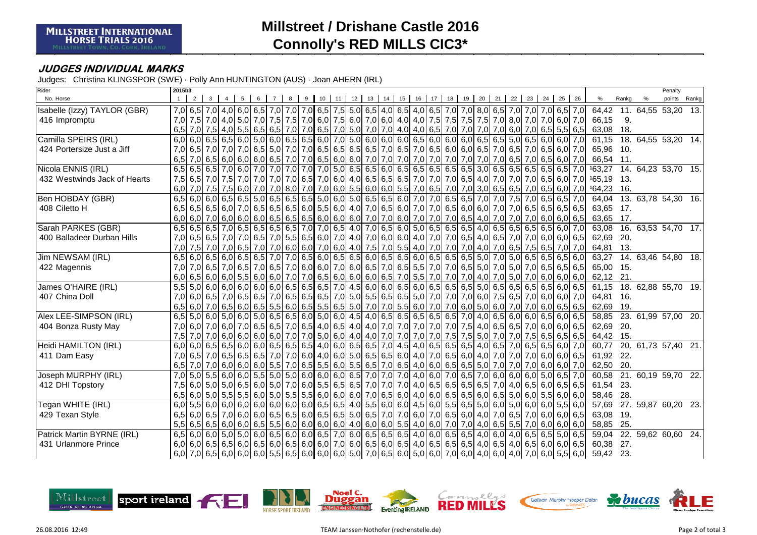# **Millstreet / Drishane Castle 2016Connolly's RED MILLS CIC3\***

### **JUDGES INDIVIDUAL MARKS**

Judges: Christina KLINGSPOR (SWE) · Polly Ann HUNTINGTON (AUS) · Joan AHERN (IRL)

| Rider                        | 2015b3 |                |              |   |   |  |                  |    |    |                                                                                                                                     |    |    |    |    |    |    |    |                   |    |    |    |               |                                                                                                                                        |       |   | Penalty                   |  |
|------------------------------|--------|----------------|--------------|---|---|--|------------------|----|----|-------------------------------------------------------------------------------------------------------------------------------------|----|----|----|----|----|----|----|-------------------|----|----|----|---------------|----------------------------------------------------------------------------------------------------------------------------------------|-------|---|---------------------------|--|
| No. Horse                    |        | $\overline{2}$ | $\mathbf{3}$ | 5 | 6 |  | 10 <sup>10</sup> | 11 | 12 | 13                                                                                                                                  | 14 | 15 | 16 | 17 | 18 | 19 | 20 | $21 \mid 22 \mid$ | 23 | 24 | 25 | 26            | $\%$                                                                                                                                   | Rankg | % | points Rankg              |  |
| Isabelle (Izzy) TAYLOR (GBR) |        |                |              |   |   |  |                  |    |    | 7,0 6,5 7,0 4,0 6,0 6,5 7,0 7,0 7,0 7,0 6,5 7,5 5,0 6,5 4,0 6,5 4,0 6,5 7,0 7,0 8,0 6,5 7,0 7,0 7,0 7,0 6,5 7,0                     |    |    |    |    |    |    |    |                   |    |    |    |               |                                                                                                                                        |       |   | 64,42 11. 64,55 53,20 13. |  |
| 416 Impromptu                |        |                |              |   |   |  |                  |    |    | 7,0 4,0 5,0 7,5 7,5 7,6 4,0 5,0 7,6 7,5 7,5 7,6 6,0 7,5 6,0 7,6 6,0 4,0 4,0 4,0 7,5 7,5 7,5 7,5 7,6 8,0 7,0 6,0 7,0 6,0 7,0         |    |    |    |    |    |    |    |                   |    |    |    |               | 66,15                                                                                                                                  | 9.    |   |                           |  |
|                              |        |                |              |   |   |  |                  |    |    | $6,5$ 7,0 7,5 4,0 5,5 6,5 6,5 7,0 7,0 6,5 7,0 6,5 7,0 5,0 7,0 4,0 4,0 6,5 7,0 7,0 7,0 7,0 6,0 7,0 6,5 5,5 6,5 6,5                   |    |    |    |    |    |    |    |                   |    |    |    |               | 63,08 18.                                                                                                                              |       |   |                           |  |
| Camilla SPEIRS (IRL)         |        |                |              |   |   |  |                  |    |    | 6,0 6,0 6,5 6,5 6,0 5,0 6,0 6,0 6,5 6,6 6,0 7,0 5,0 6,0 6,0 6,0 6,0 6,5 6,0 6,0 6,0 6,5 6,5 5,0 6,5 6,0 6,0 7,0                     |    |    |    |    |    |    |    |                   |    |    |    |               | 61,15                                                                                                                                  |       |   | 18. 64,55 53,20 14.       |  |
| 424 Portersize Just a Jiff   |        |                |              |   |   |  |                  |    |    | 7,0 6,5 7,0 7,0 7,0 7,0 6,5 5,0 7,0 7,0 6,5 6,5 6,5 6,5 7,0 6,5 7,0 6,5 7,0 6,6 6,0 6,0 6,5 7,0 6,5 7,0 6,5 6,0 7,0                 |    |    |    |    |    |    |    |                   |    |    |    |               | 65,96 10.                                                                                                                              |       |   |                           |  |
|                              |        |                |              |   |   |  |                  |    |    |                                                                                                                                     |    |    |    |    |    |    |    |                   |    |    |    |               | 66,54 11.                                                                                                                              |       |   |                           |  |
| Nicola ENNIS (IRL)           |        |                |              |   |   |  |                  |    |    |                                                                                                                                     |    |    |    |    |    |    |    |                   |    |    |    |               | 6,5 6,5 6,5 6,5 6,5 7,0 6,0 7,0 7,0 7,0 7,0 7,0 7,0 5,0 6,5 6,5 6,6 6,6 6,5 6,5 6,5 6,5 3,0 6,5 6,5 6,5 6,5 6,5 7,0 163,27             |       |   | 14. 64,23 53,70 15.       |  |
| 432 Westwinds Jack of Hearts |        |                |              |   |   |  |                  |    |    |                                                                                                                                     |    |    |    |    |    |    |    |                   |    |    |    |               | 7,5 6,5 7,0 7,5 7,0 7,0 7,0 7,0 7,0 7,0 6,5 7,0 6,6 7,0 6,0 4,0 6,5 6,5 6,5 6,5 7,0 7,0 7,0 6,5 4,0 7,0 7,0 7,0 7,0 6,5 6,0 7,0 165,19 | 13.   |   |                           |  |
|                              |        |                |              |   |   |  |                  |    |    |                                                                                                                                     |    |    |    |    |    |    |    |                   |    |    |    |               | 6,0 7,0 7,5 7,5 6,0 7,0 7,0 8,0 7,0 8,0 7,0 6,0 5,5 6,0 6,0 6,0 6,0 5,5 7,0 6,5 7,0 3,0 6,5 6,5 7,0 6,5 7,0 6,5 6,0 7,0 164,23 16.     |       |   |                           |  |
| Ben HOBDAY (GBR)             |        |                |              |   |   |  |                  |    |    | 6,5 6,0 6,0 6,5 6,5 6,5 6,5 6,5 6,5 6,6 6,6 6,0 6,0 6,5 6,5 6,6 6,6 7,0 7,0 6,5 6,5 7,0 7,0 7,5 7,0                                 |    |    |    |    |    |    |    |                   |    |    |    | $6,5$ 6,5 7,0 | 64,04                                                                                                                                  |       |   | 13. 63,78 54,30 16.       |  |
| 408 Ciletto H                |        |                |              |   |   |  |                  |    |    |                                                                                                                                     |    |    |    |    |    |    |    |                   |    |    |    |               | 63,65 17.                                                                                                                              |       |   |                           |  |
|                              |        |                |              |   |   |  |                  |    |    | 6,0 6,0 6,0 6,0 6,0 6,0 6,0 6,5 6,5 6,5 6,6 6,0 6,0 6,0 7,0 7,0 6,0 7,0 7,0 7,0 6,5 4,0 7,0 7,0 7,0 6,0 6,0 6,0 6,5                 |    |    |    |    |    |    |    |                   |    |    |    |               | 63,65 17.                                                                                                                              |       |   |                           |  |
| Sarah PARKES (GBR)           |        |                |              |   |   |  |                  |    |    | 6,5 6,5 6,5 7,0 6,5 6,5 6,5 6,5 6,5 7,0 7,0 6,5 4,0 7,0 6,5 6,0 5,0 6,5 6,5 6,5 6,5 4,0 6,5 6,5 6,5 6,5 6,5 6,6 7,0                 |    |    |    |    |    |    |    |                   |    |    |    |               | 63,08                                                                                                                                  |       |   | 16. 63,53 54,70 17.       |  |
| 400 Balladeer Durban Hills   |        |                |              |   |   |  |                  |    |    | 7,0 6,5 7,0 7,0 7,0 6,0 7,0 6,5 7,0 5,5 6,5 6,0 7,0 4,0 7,0 6,0 6,0 4,0 7,0 7,0 6,5 4,0 6,5 7,0 7,0 6,0 6,0 6,0 6,1                 |    |    |    |    |    |    |    |                   |    |    |    |               | 62,69 20.                                                                                                                              |       |   |                           |  |
|                              |        |                |              |   |   |  |                  |    |    | 7,0 7,0 7,0 6,5 7,0 6,5 7,0 6,6 7,0 6,0 7,0 6,0 7,0 6,0 7,0 6,0 4,0 7,5 7,0 5,5 4,0 7,0 7,0 7,0 7,0 4,0 7,0 6,5 7,0 6,5 7,0 7,0 7,0 |    |    |    |    |    |    |    |                   |    |    |    |               | 64,81 13.                                                                                                                              |       |   |                           |  |
| Jim NEWSAM (IRL)             |        |                |              |   |   |  |                  |    |    | 6,5 6,0 6,5 6,0 6,5 6,6 7,0 7,0 6,5 6,0 6,5 6,0 6,5 6,0 6,5 6,6 6,0 6,5 6,0 6,5 6,5 6,5 6,5 6,0 7,0 7,0 6,5 6,5 6,5 6,5 6,0         |    |    |    |    |    |    |    |                   |    |    |    |               | 63,27                                                                                                                                  |       |   | 14. 63,46 54,80 18.       |  |
| 422 Magennis                 |        |                |              |   |   |  |                  |    |    | 7,0 7,0 6,5 7,0 6,5 7,0 6,5 7,0 6,5 7,0 6,0 6,0 7,0 6,0 6,5 7,0 6,5 5,5 7,0 7,0 6,5 5,0 7,0 5,0 7,0 6,5 6,5 6,5 6,5 6,5             |    |    |    |    |    |    |    |                   |    |    |    |               | 65,00 15.                                                                                                                              |       |   |                           |  |
|                              |        |                |              |   |   |  |                  |    |    | 6,0 6,0 6,0 6,0 6,0 6,0 6,0 6,0 7,0 6,0 7,0 6,5 6,0 6,0 6,0 6,0 6,5 7,0 5,5 7,0 7,0 7,0 4,0 7,0 5,0 7,0 6,0 6,0 6,0 6,0 6,0         |    |    |    |    |    |    |    |                   |    |    |    |               | 62,12 21.                                                                                                                              |       |   |                           |  |
| James O'HAIRE (IRL)          |        |                |              |   |   |  |                  |    |    |                                                                                                                                     |    |    |    |    |    |    |    |                   |    |    |    |               | 61,15                                                                                                                                  |       |   | 18. 62,88 55,70 19.       |  |
| 407 China Doll               |        |                |              |   |   |  |                  |    |    | 7,0 6,0 7,0 6,5 7,0 6,6 7,0 6,6 7,0 6,5 7,0 6,5 6,5 6,5 7,0 5,0 5,5 6,5 6,5 6,5 5,0 7,0 7,0 7,0 6,0 7,5 6,5 7,0 6,0 7,0 6,0 7,0     |    |    |    |    |    |    |    |                   |    |    |    |               | 64,81 16.                                                                                                                              |       |   |                           |  |
|                              |        |                |              |   |   |  |                  |    |    | 6,5 6,0 7,0 6,5 6,0 6,5 6,0 6,5 6,6 6,6 6,6 6,6 6,5 6,6 6,6 7,0 7,0 5,5 6,0 7,0 7,0 6,0 5,0 6,0 7,0 7,0 7,0 6,5 6,5 6,5 6,5         |    |    |    |    |    |    |    |                   |    |    |    |               | 62,69 19.                                                                                                                              |       |   |                           |  |
| Alex LEE-SIMPSON (IRL)       |        |                |              |   |   |  |                  |    |    | 6,5 6,0 6,0 6,0 6,0 6,0 6,0 6,5 6,5 6,5 6,0 5,0 6,0 4,5 4,0 6,5 6,5 6,5 6,5 6,5 7,0 4,0 6,5 6,0 6,0 6,0 6,5 6,0 6,5                 |    |    |    |    |    |    |    |                   |    |    |    |               | 58,85                                                                                                                                  |       |   | 23. 61,99 57,00 20.       |  |
| 404 Bonza Rusty May          |        |                |              |   |   |  |                  |    |    | 7,0 6,0 7,0 6,0 7,0 6,0 7,0 6,5 6,5 7,0 6,5 4,0 6,5 4,0 4,0 7,0 7,0 7,0 7,0 7,0 7,0 7,5 4,0 6,5 6,5 7,0 6,0 6,0 6,0 6,5             |    |    |    |    |    |    |    |                   |    |    |    |               | 62,69 20.                                                                                                                              |       |   |                           |  |
|                              |        |                |              |   |   |  |                  |    |    | 7,5 7,0 7,0 7,0 6,0 6,5 6,5 6,5 6,5 7,0 7,0 5,0 6,0 4,0 4,0 7,0 7,0 7,0 7,0 7,5 7,5 5,0 7,0 7,0 7,0 7,5 6,5 6,5 6,5 6,5             |    |    |    |    |    |    |    |                   |    |    |    |               | 64,42 15.                                                                                                                              |       |   |                           |  |
| Heidi HAMILTON (IRL)         |        |                |              |   |   |  |                  |    |    |                                                                                                                                     |    |    |    |    |    |    |    |                   |    |    |    |               | 60,77                                                                                                                                  |       |   | 20. 61,73 57,40 21.       |  |
| 411 Dam Easy                 |        |                |              |   |   |  |                  |    |    | 7,0 6,5 7,0 6,5 6,5 6,5 6,5 6,5 7,0 7,0 6,0 4,0 6,0 5,0 6,5 6,5 6,0 4,0 7,0 6,5 6,0 4,0 7,0 7,0 7,0 7,0 6,0 6,0 6,0 6,5             |    |    |    |    |    |    |    |                   |    |    |    |               | 61,92 22.                                                                                                                              |       |   |                           |  |
|                              |        |                |              |   |   |  |                  |    |    | 6,5 7,0 7,0 6,0 6,0 6,0 5,5 7,0 6,5 5,5 6,0 5,5 6,0 5,5 6,5 7,0 6,5 4,0 6,0 6,5 6,5 5,0 7,0 7,0 7,0 6,0 6,0 7,0                     |    |    |    |    |    |    |    |                   |    |    |    |               | 62,50 20.                                                                                                                              |       |   |                           |  |
| Joseph MURPHY (IRL)          |        |                |              |   |   |  |                  |    |    | 7,0 5,5 6,0 5,0 6,0 5,5 6,0 6,0 5,5 6,0 6,0 6,0 6,0 6,0 6,0 6,5 7,0 7,0 7,0 7,0 6,0 7,0 6,5 7,0 6,0 6,0 6,0 6,0 5,0 6,5 7,0         |    |    |    |    |    |    |    |                   |    |    |    |               | 60,58                                                                                                                                  |       |   | 21. 60,19 59,70 22.       |  |
| 412 DHI Topstory             |        |                |              |   |   |  |                  |    |    | 7,5 6,0 5,0 5,0 6,5 6,0 5,0 6,5 6,0 7,0 6,0 5,5 6,5 6,5 7,0 7,0 7,0 7,0 4,0 6,5 6,5 6,5 6,5 6,5 7,0 4,0 6,5 6,5 6,5 6,5 6,5 6,5 6,5 |    |    |    |    |    |    |    |                   |    |    |    |               | 61,54 23.                                                                                                                              |       |   |                           |  |
|                              |        |                |              |   |   |  |                  |    |    | 6,0 5,0 5,0 5,5 6,0 5,5 6,0 5,6 6,0 5,6 6,0 5,5 6,0 6,0 6,0 6,0 7,0 6,5 6,0 4,0 6,0 6,5 6,5 6,5 6,0 6,5 5,0 6,0 5,5 6,0 6,0 6,0 6,0 |    |    |    |    |    |    |    |                   |    |    |    |               | 58,46 28.                                                                                                                              |       |   |                           |  |
| Tegan WHITE (IRL)            |        |                |              |   |   |  |                  |    |    |                                                                                                                                     |    |    |    |    |    |    |    |                   |    |    |    |               | 57,69                                                                                                                                  |       |   | 27. 59,87 60,20 23.       |  |
| 429 Texan Style              |        |                |              |   |   |  |                  |    |    | 6,5 6,0 6,5 7,0 6,0 6,0 6,0 6,5 6,5 6,6 6,0 6,5 6,5 6,6 7,0 7,0 6,0 7,0 6,5 6,0 4,0 7,0 6,5 7,0 6,0 6,0 6,0 6,5                     |    |    |    |    |    |    |    |                   |    |    |    |               | 63,08 19.                                                                                                                              |       |   |                           |  |
|                              |        |                |              |   |   |  |                  |    |    |                                                                                                                                     |    |    |    |    |    |    |    |                   |    |    |    |               | 58,85 25.                                                                                                                              |       |   |                           |  |
| Patrick Martin BYRNE (IRL)   |        |                |              |   |   |  |                  |    |    | 6,5 6,0 6,0 5,0 5,0 6,0 6,5 6,5 6,6 6,6 6,6 7,0 6,0 6,5 6,5 6,5 4,0 6,0 6,5 6,5 4,0 6,0 4,0 6,5 6,5 6,5 6,5 6,5 6,6                 |    |    |    |    |    |    |    |                   |    |    |    |               | 59,04                                                                                                                                  |       |   | 22. 59,62 60,60 24.       |  |
| 431 Urlanmore Prince         |        |                |              |   |   |  |                  |    |    | 6,0 6,5 6,0 6,5 6,0 6,5 6,0 6,5 6,0 6,5 6,0 6,6 7,0 6,0 6,5 6,0 6,5 4,0 6,5 6,5 6,5 4,0 6,5 4,0 6,5 4,0 6,5 6,0 6,0 6,0 6,5         |    |    |    |    |    |    |    |                   |    |    |    |               | 60,38 27.                                                                                                                              |       |   |                           |  |
|                              |        |                |              |   |   |  |                  |    |    | 6,0 6,0 6,0 6,0 6,0 6,0 6,0 6,5 6,5 6,6 6,0 6,0 6,0 6,0 7,0 6,5 6,0 5,0 7,0 6,0 7,0 6,0 4,0 6,0 4,0 7,0 6,0 5,5 6,0                 |    |    |    |    |    |    |    |                   |    |    |    |               | 59,42 23.                                                                                                                              |       |   |                           |  |